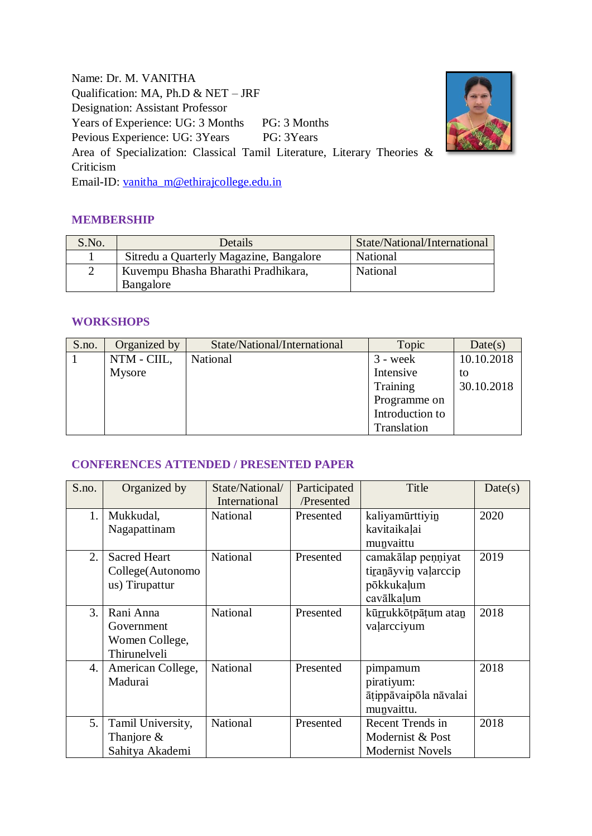Name: Dr. M. VANITHA Qualification: MA, Ph.D & NET – JRF Designation: Assistant Professor Years of Experience: UG: 3 Months PG: 3 Months Pevious Experience: UG: 3Years PG: 3Years Area of Specialization: Classical Tamil Literature, Literary Theories & Criticism Email-ID: [vanitha\\_m@ethirajcollege.edu.in](mailto:vanitha_m@ethirajcollege.edu.in)

### **MEMBERSHIP**

| S.No. | Details                                 | State/National/International |
|-------|-----------------------------------------|------------------------------|
|       | Sitredu a Quarterly Magazine, Bangalore | National                     |
|       | Kuvempu Bhasha Bharathi Pradhikara,     | National                     |
|       | Bangalore                               |                              |

### **WORKSHOPS**

| S.no. | Organized by | State/National/International | Topic           | Date(s)    |
|-------|--------------|------------------------------|-----------------|------------|
|       | NTM - CIIL,  | National                     | $3 - week$      | 10.10.2018 |
|       | Mysore       |                              | Intensive       | to         |
|       |              |                              | Training        | 30.10.2018 |
|       |              |                              | Programme on    |            |
|       |              |                              | Introduction to |            |
|       |              |                              | Translation     |            |

# **CONFERENCES ATTENDED / PRESENTED PAPER**

| S.no.            | Organized by                                              | State/National/<br>International | Participated<br>/Presented | Title                                                                  | Date(s) |
|------------------|-----------------------------------------------------------|----------------------------------|----------------------------|------------------------------------------------------------------------|---------|
| 1.               | Mukkudal,<br>Nagapattinam                                 | National                         | Presented                  | kaliyamūrttiyin<br>kavitaikalai<br>munvaittu                           | 2020    |
| 2.               | <b>Sacred Heart</b><br>College(Autonomo<br>us) Tirupattur | National                         | Presented                  | camakālap peņņiyat<br>tiranāyvin valarccip<br>pōkkukaļum<br>cavālkalum | 2019    |
| 3.               | Rani Anna<br>Government<br>Women College,<br>Thirunelveli | National                         | Presented                  | kūrrukkōtpāṭum atan<br>valarcciyum                                     | 2018    |
| $\overline{4}$ . | American College,<br>Madurai                              | National                         | Presented                  | pimpamum<br>piratiyum:<br>ātippāvaipōla nāvalai<br>munvaittu.          | 2018    |
| 5.               | Tamil University,<br>Thanjore $\&$<br>Sahitya Akademi     | National                         | Presented                  | Recent Trends in<br>Modernist & Post<br><b>Modernist Novels</b>        | 2018    |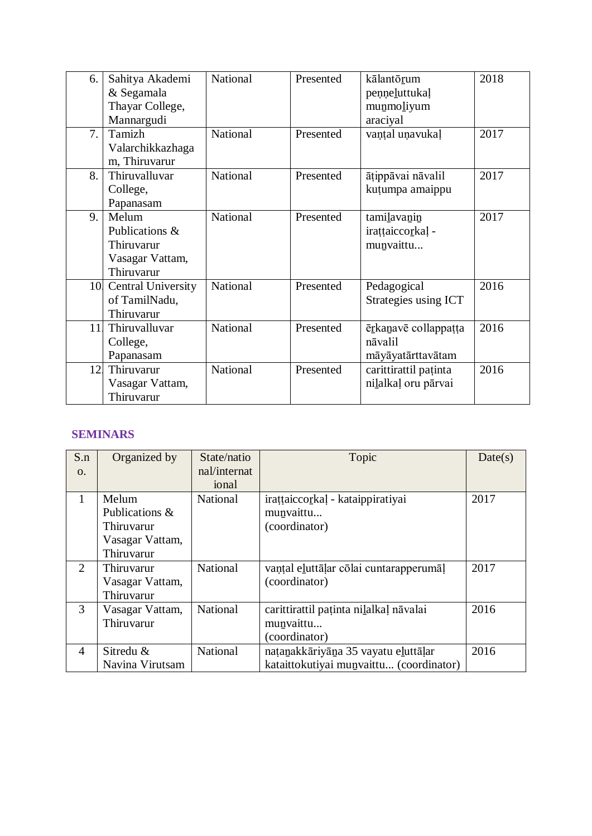| 6.  | Sahitya Akademi<br>& Segamala<br>Thayar College,<br>Mannargudi         | National | Presented | kālantōrum<br>penneluttukal<br>munmoliyum<br>araciyal | 2018 |
|-----|------------------------------------------------------------------------|----------|-----------|-------------------------------------------------------|------|
| 7.  | Tamizh<br>Valarchikkazhaga<br>m, Thiruvarur                            | National | Presented | vantal unavukal                                       | 2017 |
| 8.  | Thiruvalluvar<br>College,<br>Papanasam                                 | National | Presented | ātippāvai nāvalil<br>kutumpa amaippu                  | 2017 |
| 9.  | Melum<br>Publications &<br>Thiruvarur<br>Vasagar Vattam,<br>Thiruvarur | National | Presented | tamilavanin<br>irattaiccorkal -<br>munvaittu          | 2017 |
| 10. | <b>Central University</b><br>of TamilNadu,<br>Thiruvarur               | National | Presented | Pedagogical<br>Strategies using ICT                   | 2016 |
| 11l | Thiruvalluvar<br>College,<br>Papanasam                                 | National | Presented | ērkanavē collappatta<br>nāvalil<br>māyāyatārttavātam  | 2016 |
| 12  | Thiruvarur<br>Vasagar Vattam,<br>Thiruvarur                            | National | Presented | carittirattil paținta<br>nilalkaļ oru pārvai          | 2016 |

# **SEMINARS**

| S.n | Organized by    | State/natio     | Topic                                   | Date(s) |
|-----|-----------------|-----------------|-----------------------------------------|---------|
| 0.  |                 | nal/internat    |                                         |         |
|     |                 | ional           |                                         |         |
| 1   | Melum           | National        | irattaiccorkal - kataippiratiyai        | 2017    |
|     | Publications &  |                 | munvaittu                               |         |
|     | Thiruvarur      |                 | (coordinator)                           |         |
|     | Vasagar Vattam, |                 |                                         |         |
|     | Thiruvarur      |                 |                                         |         |
| 2   | Thiruvarur      | <b>National</b> | vantal eluttālar colai cuntarapperumāļ  | 2017    |
|     | Vasagar Vattam, |                 | (coordinator)                           |         |
|     | Thiruvarur      |                 |                                         |         |
| 3   | Vasagar Vattam, | National        | carittirattil patinta nilalkal nāvalai  | 2016    |
|     | Thiruvarur      |                 | munvaittu                               |         |
|     |                 |                 | (coordinator)                           |         |
| 4   | Sitredu &       | <b>National</b> | natanakkāriyāna 35 vayatu eluttāļar     | 2016    |
|     | Navina Virutsam |                 | kataittokutiyai munvaittu (coordinator) |         |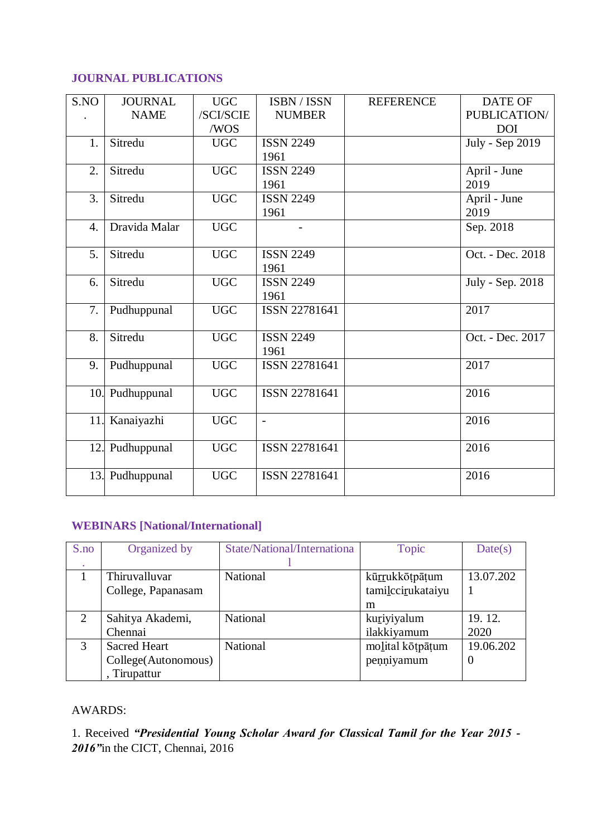### **JOURNAL PUBLICATIONS**

| S.NO             | <b>JOURNAL</b>  | <b>UGC</b>       | ISBN / ISSN      | <b>REFERENCE</b> | <b>DATE OF</b>   |
|------------------|-----------------|------------------|------------------|------------------|------------------|
|                  | <b>NAME</b>     | /SCI/SCIE        | <b>NUMBER</b>    |                  | PUBLICATION/     |
|                  |                 | /WOS             |                  |                  | <b>DOI</b>       |
| 1.               | Sitredu         | <b>UGC</b>       | <b>ISSN 2249</b> |                  | July - Sep 2019  |
|                  |                 |                  | 1961             |                  |                  |
| 2.               | Sitredu         | <b>UGC</b>       | <b>ISSN 2249</b> |                  | April - June     |
|                  |                 |                  | 1961             |                  | 2019             |
| 3.               | Sitredu         | $\overline{UGC}$ | <b>ISSN 2249</b> |                  | April - June     |
|                  |                 |                  | 1961             |                  | 2019             |
| $\overline{4}$ . | Dravida Malar   | <b>UGC</b>       |                  |                  | Sep. 2018        |
| 5.               | Sitredu         | <b>UGC</b>       | <b>ISSN 2249</b> |                  | Oct. - Dec. 2018 |
|                  |                 |                  | 1961             |                  |                  |
| 6.               | Sitredu         | <b>UGC</b>       | <b>ISSN 2249</b> |                  | July - Sep. 2018 |
|                  |                 |                  | 1961             |                  |                  |
| 7.               | Pudhuppunal     | <b>UGC</b>       | ISSN 22781641    |                  | 2017             |
| 8.               | Sitredu         | <b>UGC</b>       | <b>ISSN 2249</b> |                  | Oct. - Dec. 2017 |
|                  |                 |                  | 1961             |                  |                  |
| 9.               | Pudhuppunal     | <b>UGC</b>       | ISSN 22781641    |                  | 2017             |
|                  |                 |                  |                  |                  |                  |
|                  | 10. Pudhuppunal | <b>UGC</b>       | ISSN 22781641    |                  | 2016             |
|                  |                 |                  |                  |                  |                  |
| 11.              | Kanaiyazhi      | <b>UGC</b>       | $\overline{a}$   |                  | 2016             |
|                  |                 |                  |                  |                  |                  |
|                  | 12. Pudhuppunal | <b>UGC</b>       | ISSN 22781641    |                  | 2016             |
|                  |                 |                  |                  |                  |                  |
|                  | 13. Pudhuppunal | <b>UGC</b>       | ISSN 22781641    |                  | 2016             |
|                  |                 |                  |                  |                  |                  |

# **WEBINARS [National/International]**

| S.no | Organized by        | State/National/Internationa | Topic             | Date(s)   |
|------|---------------------|-----------------------------|-------------------|-----------|
|      |                     |                             |                   |           |
|      | Thiruvalluvar       | National                    | kūrrukkōtpāṭum    | 13.07.202 |
|      | College, Papanasam  |                             | tamilccirukataiyu |           |
|      |                     |                             | m                 |           |
| 2    | Sahitya Akademi,    | National                    | kuriyiyalum       | 19.12.    |
|      | Chennai             |                             | ilakkiyamum       | 2020      |
| 3    | <b>Sacred Heart</b> | National                    | molital kōtpāṭum  | 19.06.202 |
|      | College(Autonomous) |                             | penniyamum        | 0         |
|      | Tirupattur          |                             |                   |           |

#### AWARDS:

1. Received *"Presidential Young Scholar Award for Classical Tamil for the Year 2015 - 2016"*in the CICT, Chennai, 2016